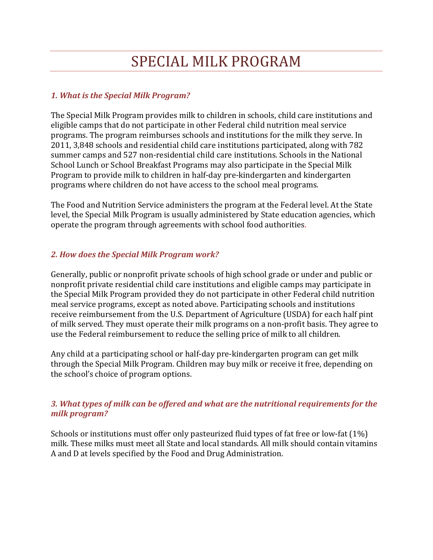# SPECIAL MILK PROGRAM

## *1. What is the Special Milk Program?*

The Special Milk Program provides milk to children in schools, child care institutions and eligible camps that do not participate in other Federal child nutrition meal service programs. The program reimburses schools and institutions for the milk they serve. In 2011, 3,848 schools and residential child care institutions participated, along with 782 summer camps and 527 non-residential child care institutions. Schools in the National School Lunch or School Breakfast Programs may also participate in the Special Milk Program to provide milk to children in half‐day pre‐kindergarten and kindergarten programs where children do not have access to the school meal programs.

The Food and Nutrition Service administers the program at the Federal level. At the State level, the Special Milk Program is usually administered by State education agencies, which operate the program through agreements with school food authorities.

## *2. How does the Special Milk Program work?*

Generally, public or nonprofit private schools of high school grade or under and public or nonprofit private residential child care institutions and eligible camps may participate in the Special Milk Program provided they do not participate in other Federal child nutrition meal service programs, except as noted above. Participating schools and institutions receive reimbursement from the U.S. Department of Agriculture (USDA) for each half pint of milk served. They must operate their milk programs on a non‐profit basis. They agree to use the Federal reimbursement to reduce the selling price of milk to all children.

Any child at a participating school or half‐day pre‐kindergarten program can get milk through the Special Milk Program. Children may buy milk or receive it free, depending on the school's choice of program options.

### *3. What types of milk can be offered and what are the nutritional requirements for the milk program?*

Schools or institutions must offer only pasteurized fluid types of fat free or low-fat (1%) milk. These milks must meet all State and local standards. All milk should contain vitamins A and D at levels specified by the Food and Drug Administration.